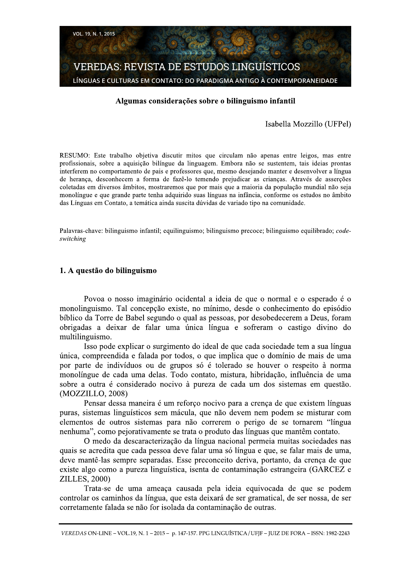

## Algumas considerações sobre o bilinguismo infantil

## Isabella Mozzillo (UFPel)

RESUMO: Este trabalho objetiva discutir mitos que circulam não apenas entre leigos, mas entre profissionais, sobre a aquisição bilíngue da linguagem. Embora não se sustentem, tais ideias prontas interferem no comportamento de pais e professores que, mesmo desejando manter e desenvolver a língua de herança, desconhecem a forma de fazê-lo temendo prejudicar as crianças. Através de asserções coletadas em diversos âmbitos, mostraremos que por mais que a maioria da população mundial não seja monolíngue e que grande parte tenha adquirido suas línguas na infância, conforme os estudos no âmbito das Línguas em Contato, a temática ainda suscita dúvidas de variado tipo na comunidade.

Palavras-chave: bilinguismo infantil; equilinguismo; bilinguismo precoce; bilinguismo equilibrado; codeswitching

## 1. A questão do bilinguismo

Povoa o nosso imaginário ocidental a ideia de que o normal e o esperado é o monolinguismo. Tal concepção existe, no mínimo, desde o conhecimento do episódio bíblico da Torre de Babel segundo o qual as pessoas, por desobedecerem a Deus, foram obrigadas a deixar de falar uma única língua e sofreram o castigo divino do multilinguismo.

Isso pode explicar o surgimento do ideal de que cada sociedade tem a sua língua única, compreendida e falada por todos, o que implica que o domínio de mais de uma por parte de indivíduos ou de grupos só é tolerado se houver o respeito à norma monolíngue de cada uma delas. Todo contato, mistura, hibridação, influência de uma sobre a outra é considerado nocivo à pureza de cada um dos sistemas em questão. (MOZZILLO, 2008)

Pensar dessa maneira é um reforço nocivo para a crença de que existem línguas puras, sistemas linguísticos sem mácula, que não devem nem podem se misturar com elementos de outros sistemas para não correrem o perigo de se tornarem "língua nenhuma", como pejorativamente se trata o produto das línguas que mantêm contato.

O medo da descaracterização da língua nacional permeia muitas sociedades nas quais se acredita que cada pessoa deve falar uma só língua e que, se falar mais de uma, deve mantê-las sempre separadas. Esse preconceito deriva, portanto, da crença de que existe algo como a pureza linguística, isenta de contaminação estrangeira (GARCEZ e ZILLES, 2000)

Trata-se de uma ameaça causada pela ideia equivocada de que se podem controlar os caminhos da língua, que esta deixará de ser gramatical, de ser nossa, de ser corretamente falada se não for isolada da contaminação de outras.

VEREDAS ON-LINE - VOL.19, N. 1 - 2015 - p. 147-157. PPG LINGUÍSTICA / UFIF - JUIZ DE FORA - ISSN: 1982-2243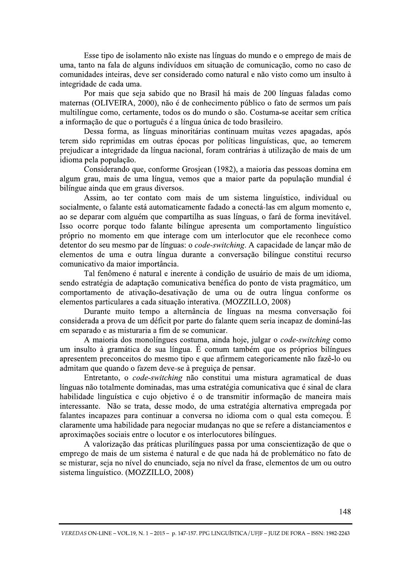Esse tipo de isolamento não existe nas línguas do mundo e o emprego de mais de uma, tanto na fala de alguns indivíduos em situação de comunicação, como no caso de comunidades inteiras, deve ser considerado como natural e não visto como um insulto à integridade de cada uma.

Por mais que seja sabido que no Brasil há mais de 200 línguas faladas como maternas (OLIVEIRA, 2000), não é de conhecimento público o fato de sermos um país multilíngue como, certamente, todos os do mundo o são. Costuma-se aceitar sem crítica a informação de que o português é a língua única de todo brasileiro.

Dessa forma, as línguas minoritárias continuam muitas vezes apagadas, após terem sido reprimidas em outras épocas por políticas linguísticas, que, ao temerem prejudicar a integridade da língua nacional, foram contrárias à utilização de mais de um idioma pela população.

Considerando que, conforme Grosjean (1982), a maioria das pessoas domina em algum grau, mais de uma língua, vemos que a maior parte da população mundial é bilíngue ainda que em graus diversos.

Assim, ao ter contato com mais de um sistema linguístico, individual ou socialmente, o falante está automaticamente fadado a conectá-las em algum momento e, ao se deparar com alguém que compartilha as suas línguas, o fará de forma inevitável. Isso ocorre porque todo falante bilíngue apresenta um comportamento linguístico próprio no momento em que interage com um interlocutor que ele reconhece como detentor do seu mesmo par de línguas: o code-switching. A capacidade de lançar mão de elementos de uma e outra língua durante a conversação bilíngue constitui recurso comunicativo da maior importância.

Tal fenômeno é natural e inerente à condição de usuário de mais de um idioma, sendo estratégia de adaptação comunicativa benéfica do ponto de vista pragmático, um comportamento de ativação-desativação de uma ou de outra língua conforme os elementos particulares a cada situação interativa. (MOZZILLO, 2008)

Durante muito tempo a alternância de línguas na mesma conversação foi considerada a prova de um déficit por parte do falante quem seria incapaz de dominá-las em separado e as misturaria a fim de se comunicar.

A maioria dos monolíngues costuma, ainda hoje, julgar o code-switching como um insulto à gramática de sua língua. É comum também que os próprios bilíngues apresentem preconceitos do mesmo tipo e que afirmem categoricamente não fazê-lo ou admitam que quando o fazem deve-se à preguiça de pensar.

Entretanto, o *code-switching* não constitui uma mistura agramatical de duas línguas não totalmente dominadas, mas uma estratégia comunicativa que é sinal de clara habilidade linguística e cujo objetivo é o de transmitir informação de maneira mais interessante. Não se trata, desse modo, de uma estratégia alternativa empregada por falantes incapazes para continuar a conversa no idioma com o qual esta começou. É claramente uma habilidade para negociar mudanças no que se refere a distanciamentos e aproximações sociais entre o locutor e os interlocutores bilíngues.

A valorização das práticas plurilíngues passa por uma conscientização de que o emprego de mais de um sistema é natural e de que nada há de problemático no fato de se misturar, seja no nível do enunciado, seja no nível da frase, elementos de um ou outro sistema linguístico. (MOZZILLO, 2008)

VEREDAS ON-LINE - VOL.19, N. 1 - 2015 - p. 147-157. PPG LINGUÍSTICA / UFIF - JUIZ DE FORA - ISSN: 1982-2243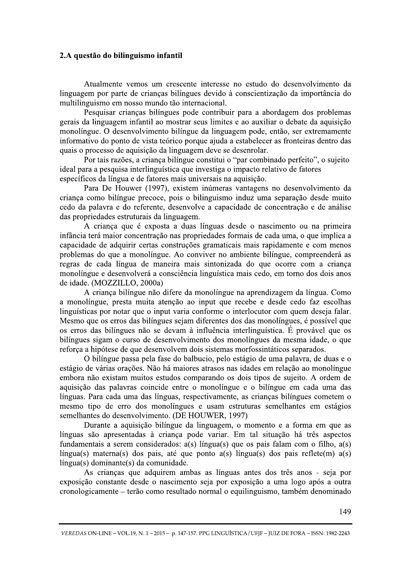# 2.A questão do bilinguismo infantil

Atualmente vemos um crescente interesse no estudo do desenvolvimento da linguagem por parte de crianças bilíngues devido à conscientização da importância do multilinguismo em nosso mundo tão internacional.

Pesquisar criancas bilíngues pode contribuir para a abordagem dos problemas gerais da linguagem infantil ao mostrar seus limites e ao auxiliar o debate da aquisição monolíngue. O desenvolvimento bilíngue da linguagem pode, então, ser extremamente informativo do ponto de vista teórico porque ajuda a estabelecer as fronteiras dentro das quais o processo de aquisição da linguagem deve se desenrolar.

Por tais razões, a criança bilíngue constitui o "par combinado perfeito", o sujeito ideal para a pesquisa interlinguística que investiga o impacto relativo de fatores específicos da língua e de fatores mais universais na aquisição.

Para De Houwer (1997), existem inúmeras vantagens no desenvolvimento da criança como bilíngue precoce, pois o bilinguismo induz uma separação desde muito cedo da palavra e do referente, desenvolve a capacidade de concentração e de análise das propriedades estruturais da linguagem.

A criança que é exposta a duas línguas desde o nascimento ou na primeira infância terá maior concentração nas propriedades formais de cada uma, o que implica a capacidade de adquirir certas construções gramaticais mais rapidamente e com menos problemas do que a monolíngue. Ao conviver no ambiente bilíngue, compreenderá as regras de cada língua de maneira mais sintonizada do que ocorre com a criança monolíngue e desenvolverá a consciência linguística mais cedo, em torno dos dois anos de idade. (MOZZILLO, 2000a)

A crianca bilíngue não difere da monolíngue na aprendizagem da língua. Como a monolíngue, presta muita atenção ao input que recebe e desde cedo faz escolhas linguísticas por notar que o input varia conforme o interlocutor com quem deseja falar. Mesmo que os erros das bilíngues sejam diferentes dos das monolíngues, é possível que os erros das bilíngues não se devam à influência interlinguística. É provável que os bilíngues sigam o curso de desenvolvimento dos monolíngues da mesma idade, o que reforça a hipótese de que desenvolvem dois sistemas morfossintáticos separados.

O bilíngue passa pela fase do balbucio, pelo estágio de uma palavra, de duas e o estágio de várias orações. Não há maiores atrasos nas idades em relação ao monolíngue embora não existam muitos estudos comparando os dois tipos de sujeito. A ordem de aquisição das palavras coincide entre o monolíngue e o bilíngue em cada uma das línguas. Para cada uma das línguas, respectivamente, as crianças bilíngues cometem o mesmo tipo de erro dos monolíngues e usam estruturas semelhantes em estágios semelhantes do desenvolvimento. (DE HOUWER, 1997)

Durante a aquisição bilíngue da linguagem, o momento e a forma em que as línguas são apresentadas à criança pode variar. Em tal situação há três aspectos fundamentais a serem considerados: a(s) língua(s) que os pais falam com o filho, a(s) língua(s) materna(s) dos pais, até que ponto  $a(s)$  língua(s) dos pais reflete(m)  $a(s)$ língua(s) dominante(s) da comunidade.

As crianças que adquirem ambas as línguas antes dos três anos - seja por exposição constante desde o nascimento seja por exposição a uma logo após a outra cronologicamente – terão como resultado normal o equilinguismo, também denominado

VEREDAS ON-LINE - VOL.19, N. 1 - 2015 - p. 147-157. PPG LINGUÍSTICA / UFIF - JUIZ DE FORA - ISSN: 1982-2243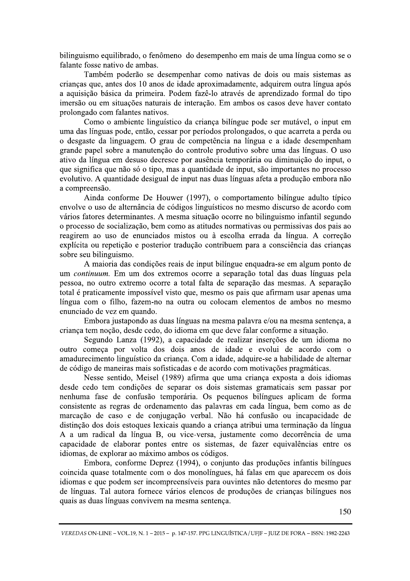bilinguismo equilibrado, o fenômeno do desempenho em mais de uma língua como se o falante fosse nativo de ambas.

Também poderão se desempenhar como nativas de dois ou mais sistemas as crianças que, antes dos 10 anos de idade aproximadamente, adquirem outra língua após a aquisição básica da primeira. Podem fazê-lo através de aprendizado formal do tipo imersão ou em situações naturais de interação. Em ambos os casos deve haver contato prolongado com falantes nativos.

Como o ambiente linguístico da criança bilíngue pode ser mutável, o input em uma das línguas pode, então, cessar por períodos prolongados, o que acarreta a perda ou o desgaste da linguagem. O grau de competência na língua e a idade desempenham grande papel sobre a manutenção do controle produtivo sobre uma das línguas. O uso ativo da língua em desuso decresce por ausência temporária ou diminuição do input, o que significa que não só o tipo, mas a quantidade de input, são importantes no processo evolutivo. A quantidade desigual de input nas duas línguas afeta a produção embora não a compreensão.

Ainda conforme De Houwer (1997), o comportamento bilíngue adulto típico envolve o uso de alternância de códigos linguísticos no mesmo discurso de acordo com vários fatores determinantes. A mesma situação ocorre no bilinguismo infantil segundo o processo de socialização, bem como as atitudes normativas ou permissivas dos pais ao reagirem ao uso de enunciados mistos ou à escolha errada da língua. A correção explícita ou repetição e posterior tradução contribuem para a consciência das crianças sobre seu bilinguismo.

A maioria das condições reais de input bilíngue enquadra-se em algum ponto de um continuum. Em um dos extremos ocorre a separação total das duas línguas pela pessoa, no outro extremo ocorre a total falta de separação das mesmas. A separação total é praticamente impossível visto que, mesmo os pais que afirmam usar apenas uma língua com o filho, fazem-no na outra ou colocam elementos de ambos no mesmo enunciado de vez em quando.

Embora justapondo as duas línguas na mesma palavra e/ou na mesma sentença, a criança tem noção, desde cedo, do idioma em que deve falar conforme a situação.

Segundo Lanza (1992), a capacidade de realizar inserções de um idioma no outro começa por volta dos dois anos de idade e evolui de acordo com o amadurecimento linguístico da criança. Com a idade, adquire-se a habilidade de alternar de código de maneiras mais sofisticadas e de acordo com motivações pragmáticas.

Nesse sentido, Meisel (1989) afirma que uma criança exposta a dois idiomas desde cedo tem condições de separar os dois sistemas gramaticais sem passar por nenhuma fase de confusão temporária. Os pequenos bilíngues aplicam de forma consistente as regras de ordenamento das palavras em cada língua, bem como as de marcação de caso e de conjugação verbal. Não há confusão ou incapacidade de distinção dos dois estoques lexicais quando a criança atribui uma terminação da língua A a um radical da língua B, ou vice-versa, justamente como decorrência de uma capacidade de elaborar pontes entre os sistemas, de fazer equivalências entre os idiomas, de explorar ao máximo ambos os códigos.

Embora, conforme Deprez (1994), o conjunto das produções infantis bilíngues coincida quase totalmente com o dos monolíngues, há falas em que aparecem os dois idiomas e que podem ser incompreensíveis para ouvintes não detentores do mesmo par de línguas. Tal autora fornece vários elencos de produções de crianças bilíngues nos quais as duas línguas convivem na mesma sentença.

VEREDAS ON-LINE - VOL.19, N. 1 - 2015 - p. 147-157. PPG LINGUÍSTICA / UFIF - JUIZ DE FORA - ISSN: 1982-2243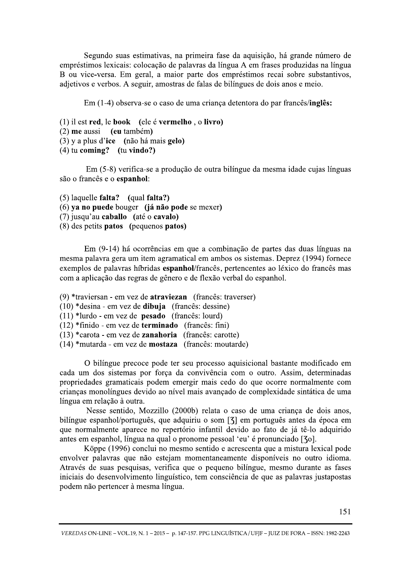Segundo suas estimativas, na primeira fase da aquisição, há grande número de empréstimos lexicais: colocação de palavras da língua A em frases produzidas na língua B ou vice-versa. Em geral, a maior parte dos empréstimos recai sobre substantivos, adjetivos e verbos. A seguir, amostras de falas de bilíngues de dois anos e meio.

Em (1-4) observa-se o caso de uma criança detentora do par francês/inglês:

```
(1) il est red, le book (ele é vermelho, o livro)
(2) me aussi (eu também)
(3) y a plus d'ice (não há mais gelo)
(4) tu coming? (tu vindo?)
```
Em (5-8) verifica-se a produção de outra bilíngue da mesma idade cujas línguas são o francês e o espanhol:

 $(5)$  laquelle falta? (qual falta?) (6) ya no puede bouger (já não pode se mexer) (7) jusqu'au caballo (até o cavalo) (8) des petits patos (pequenos patos)

Em (9-14) há ocorrências em que a combinação de partes das duas línguas na mesma palavra gera um item agramatical em ambos os sistemas. Deprez (1994) fornece exemplos de palavras híbridas espanhol/francês, pertencentes ao léxico do francês mas com a aplicação das regras de gênero e de flexão verbal do espanhol.

(9) \*traviersan - em vez de atraviezan (francês: traverser)

 $(10)$  \*desina - em vez de **dibuja** (francês: dessine)

 $(11)$  \*lurdo - em vez de **pesado** (francês: lourd)

 $(12)$  \*finido - em vez de **terminado** (francês: fini)

 $(13)$  \*carota - em vez de **zanahoria** (francês: carotte)

(14) \*mutarda - em vez de **mostaza** (francês: moutarde)

O bilíngue precoce pode ter seu processo aquisicional bastante modificado em cada um dos sistemas por força da convivência com o outro. Assim, determinadas propriedades gramaticais podem emergir mais cedo do que ocorre normalmente com crianças monolíngues devido ao nível mais avançado de complexidade sintática de uma língua em relação à outra.

Nesse sentido, Mozzillo (2000b) relata o caso de uma criança de dois anos, bilíngue espanhol/português, que adquiriu o som [3] em português antes da época em que normalmente aparece no repertório infantil devido ao fato de já tê-lo adquirido antes em espanhol, língua na qual o pronome pessoal 'eu' é pronunciado [30].

Köppe (1996) conclui no mesmo sentido e acrescenta que a mistura lexical pode envolver palavras que não estejam momentaneamente disponíveis no outro idioma. Através de suas pesquisas, verifica que o pequeno bilíngue, mesmo durante as fases iniciais do desenvolvimento linguístico, tem consciência de que as palavras justapostas podem não pertencer à mesma língua.

VEREDAS ON-LINE - VOL.19, N. 1 - 2015 - p. 147-157. PPG LINGUÍSTICA / UFIF - JUIZ DE FORA - ISSN: 1982-2243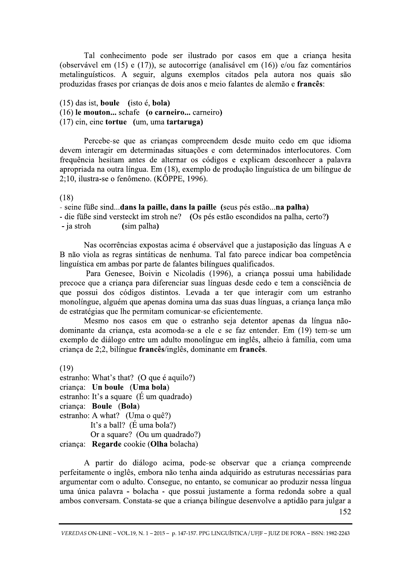Tal conhecimento pode ser ilustrado por casos em que a criança hesita (observável em  $(15)$  e  $(17)$ ), se autocorrige (analisável em  $(16)$ ) e/ou faz comentários metalinguísticos. A seguir, alguns exemplos citados pela autora nos quais são produzidas frases por crianças de dois anos e meio falantes de alemão e francês:

 $(15)$  das ist, boule (isto é, bola) (16) le mouton... schafe (o carneiro... carneiro)  $(17)$  ein, eine tortue (um, uma tartaruga)

Percebe-se que as crianças compreendem desde muito cedo em que idioma devem interagir em determinadas situações e com determinados interlocutores. Com frequência hesitam antes de alternar os códigos e explicam desconhecer a palavra apropriada na outra língua. Em (18), exemplo de produção linguística de um bilíngue de 2:10. ilustra-se o fenômeno. (KÖPPE, 1996).

 $(18)$ 

- seine füße sind...dans la paille, dans la paille (seus pés estão...na palha)

- die füße sind versteckt im stroh ne? (Os pés estão escondidos na palha, certo?)

(sim palha) - ja stroh

Nas ocorrências expostas acima é observável que a justaposição das línguas A e B não viola as regras sintáticas de nenhuma. Tal fato parece indicar boa competência linguística em ambas por parte de falantes bilíngues qualificados.

Para Genesee, Boivin e Nicoladis (1996), a criança possui uma habilidade precoce que a criança para diferenciar suas línguas desde cedo e tem a consciência de que possui dos códigos distintos. Levada a ter que interagir com um estranho monolíngue, alguém que apenas domina uma das suas duas línguas, a criança lança mão de estratégias que lhe permitam comunicar-se eficientemente.

Mesmo nos casos em que o estranho seja detentor apenas da língua nãodominante da criança, esta acomoda-se a ele e se faz entender. Em (19) tem-se um exemplo de diálogo entre um adulto monolíngue em inglês, alheio à família, com uma criança de 2;2, bilíngue francês/inglês, dominante em francês.

 $(19)$ 

estranho: What's that? (O que é aquilo?) criança: Un boule (Uma bola) estranho: It's a square ( $E$  um quadrado) criança: Boule (Bola) estranho: A what? (Uma o quê?) It's a ball? ( $\acute{E}$  uma bola?) Or a square? (Ou um quadrado?) criança: Regarde cookie (Olha bolacha)

A partir do diálogo acima, pode-se observar que a criança compreende perfeitamente o inglês, embora não tenha ainda adquirido as estruturas necessárias para argumentar com o adulto. Consegue, no entanto, se comunicar ao produzir nessa língua uma única palavra - bolacha - que possui justamente a forma redonda sobre a qual ambos conversam. Constata-se que a criança bilíngue desenvolve a aptidão para julgar a

VEREDAS ON-LINE - VOL.19, N. 1 - 2015 - p. 147-157. PPG LINGUÍSTICA / UFIF - JUIZ DE FORA - ISSN: 1982-2243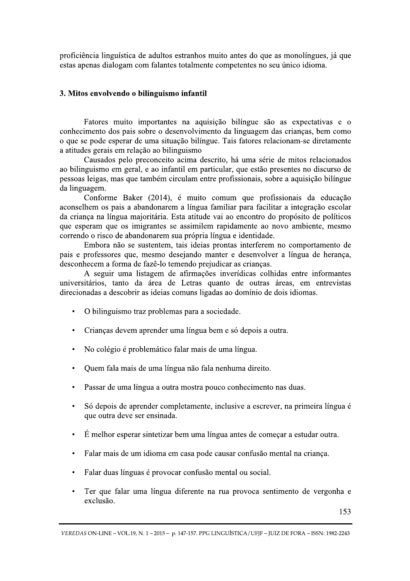proficiência linguística de adultos estranhos muito antes do que as monolíngues, já que estas apenas dialogam com falantes totalmente competentes no seu único idioma.

## 3. Mitos envolvendo o bilinguismo infantil

Fatores muito importantes na aquisição bilíngue são as expectativas e o conhecimento dos pais sobre o desenvolvimento da linguagem das crianças, bem como o que se pode esperar de uma situação bilíngue. Tais fatores relacionam-se diretamente a atitudes gerais em relação ao bilinguismo

Causados pelo preconceito acima descrito, há uma série de mitos relacionados ao bilinguismo em geral, e ao infantil em particular, que estão presentes no discurso de pessoas leigas, mas que também circulam entre profissionais, sobre a aquisição bilíngue da linguagem.

Conforme Baker (2014), é muito comum que profissionais da educação aconselhem os pais a abandonarem a língua familiar para facilitar a integração escolar da criança na língua majoritária. Esta atitude vai ao encontro do propósito de políticos que esperam que os imigrantes se assimilem rapidamente ao novo ambiente, mesmo correndo o risco de abandonarem sua própria língua e identidade.

Embora não se sustentem, tais ideias prontas interferem no comportamento de pais e professores que, mesmo desejando manter e desenvolver a língua de herança, desconhecem a forma de fazê-lo temendo prejudicar as crianças.

A seguir uma listagem de afirmações inverídicas colhidas entre informantes universitários, tanto da área de Letras quanto de outras áreas, em entrevistas direcionadas a descobrir as ideias comuns ligadas ao domínio de dois idiomas.

- O bilinguismo traz problemas para a sociedade.  $\bullet$
- Crianças devem aprender uma língua bem e só depois a outra.  $\bullet$
- No colégio é problemático falar mais de uma língua.  $\bullet$
- Quem fala mais de uma língua não fala nenhuma direito.
- Passar de uma língua a outra mostra pouco conhecimento nas duas.
- Só depois de aprender completamente, inclusive a escrever, na primeira língua é  $\bullet$ que outra deve ser ensinada.
- É melhor esperar sintetizar bem uma língua antes de começar a estudar outra.  $\bullet$
- Falar mais de um idioma em casa pode causar confusão mental na criança.  $\bullet$
- Falar duas línguas é provocar confusão mental ou social.  $\bullet$
- Ter que falar uma língua diferente na rua provoca sentimento de vergonha e exclusão.

VEREDAS ON-LINE - VOL.19, N. 1 - 2015 - p. 147-157. PPG LINGUÍSTICA / UFIF - JUIZ DE FORA - ISSN: 1982-2243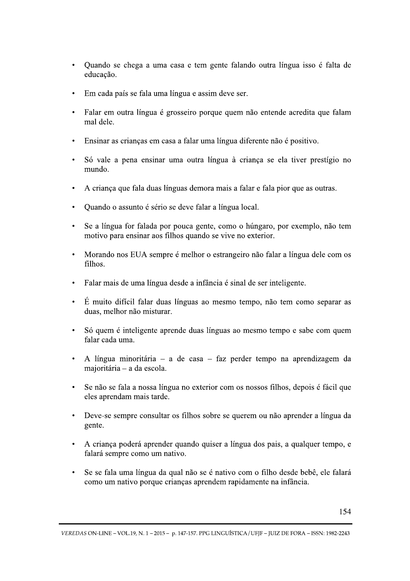- Quando se chega a uma casa e tem gente falando outra língua isso é falta de educação.
- Em cada país se fala uma língua e assim deve ser.
- Falar em outra língua é grosseiro porque quem não entende acredita que falam mal dele.
- · Ensinar as crianças em casa a falar uma língua diferente não é positivo.
- Só vale a pena ensinar uma outra língua à criança se ela tiver prestígio no mundo.
- A criança que fala duas línguas demora mais a falar e fala pior que as outras.
- Quando o assunto é sério se deve falar a língua local.
- Se a língua for falada por pouca gente, como o húngaro, por exemplo, não tem motivo para ensinar aos filhos quando se vive no exterior.
- Morando nos EUA sempre é melhor o estrangeiro não falar a língua dele com os  $filhos$
- Falar mais de uma língua desde a infância é sinal de ser inteligente.
- · É muito difícil falar duas línguas ao mesmo tempo, não tem como separar as duas, melhor não misturar.
- Só quem é inteligente aprende duas línguas ao mesmo tempo e sabe com quem falar cada uma.
- A língua minoritária a de casa faz perder tempo na aprendizagem da majoritária - a da escola.
- Se não se fala a nossa língua no exterior com os nossos filhos, depois é fácil que eles aprendam mais tarde.
- Deve-se sempre consultar os filhos sobre se querem ou não aprender a língua da gente.
- A criança poderá aprender quando quiser a língua dos pais, a qualquer tempo, e falará sempre como um nativo.
- Se se fala uma língua da qual não se é nativo com o filho desde bebê, ele falará como um nativo porque crianças aprendem rapidamente na infância.

 $\ddot{\phantom{a}}$ Ċ. VEREDAS ON-LINE – VOL.19, N. 1 – 2015 – p. 147-157. PPG LINGUÍSTICA / UFJF – JUIZ DE FORA – ISSN: 1982-2243 s aprendem rapidamente na infancia.<br>1<br>157. PPG LINGUÍSTICA/UFJF – JUIZ DE FORA – ISSN: 1982-2:<br>2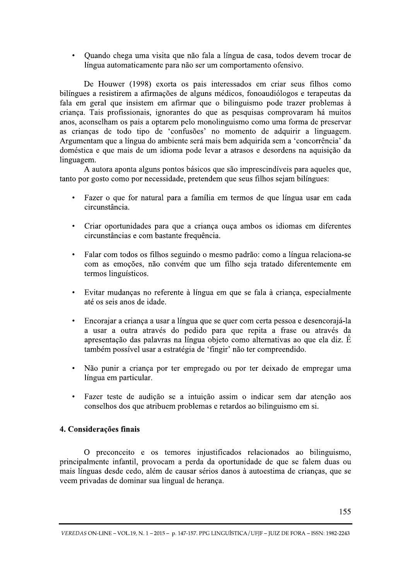• Quando chega uma visita que não fala a língua de casa, todos devem trocar de língua automaticamente para não ser um comportamento ofensivo.

De Houwer (1998) exorta os pais interessados em criar seus filhos como bilíngues a resistirem a afirmações de alguns médicos, fonoaudiólogos e terapeutas da fala em geral que insistem em afirmar que o bilinguismo pode trazer problemas à criança. Tais profissionais, ignorantes do que as pesquisas comprovaram há muitos anos, aconselham os pais a optarem pelo monolinguismo como uma forma de preservar as crianças de todo tipo de 'confusões' no momento de adquirir a linguagem. Argumentam que a língua do ambiente será mais bem adquirida sem a 'concorrência' da doméstica e que mais de um idioma pode levar a atrasos e desordens na aquisição da linguagem.

A autora aponta alguns pontos básicos que são imprescindíveis para aqueles que, tanto por gosto como por necessidade, pretendem que seus filhos sejam bilíngues:

- Fazer o que for natural para a família em termos de que língua usar em cada  $\bullet$  . circunstância.
- Criar oportunidades para que a criança ouça ambos os idiomas em diferentes circunstâncias e com bastante frequência.
- · Falar com todos os filhos seguindo o mesmo padrão: como a língua relaciona-se com as emoções, não convém que um filho seja tratado diferentemente em termos linguísticos.
- · Evitar mudanças no referente à língua em que se fala à criança, especialmente até os seis anos de idade.
- Encorajar a criança a usar a língua que se quer com certa pessoa e desencorajá-la a usar a outra através do pedido para que repita a frase ou através da apresentação das palavras na língua objeto como alternativas ao que ela diz. É também possível usar a estratégia de 'fingir' não ter compreendido.
- · Não punir a criança por ter empregado ou por ter deixado de empregar uma língua em particular.
- Fazer teste de audição se a intuição assim o indicar sem dar atenção aos conselhos dos que atribuem problemas e retardos ao bilinguismo em si.

# 4. Considerações finais

O preconceito e os temores injustificados relacionados ao bilinguismo, principalmente infantil, provocam a perda da oportunidade de que se falem duas ou mais línguas desde cedo, além de causar sérios danos à autoestima de crianças, que se veem privadas de dominar sua lingual de herança.

VEREDAS ON-LINE - VOL.19, N. 1 - 2015 - p. 147-157. PPG LINGUÍSTICA / UFIF - JUIZ DE FORA - ISSN: 1982-2243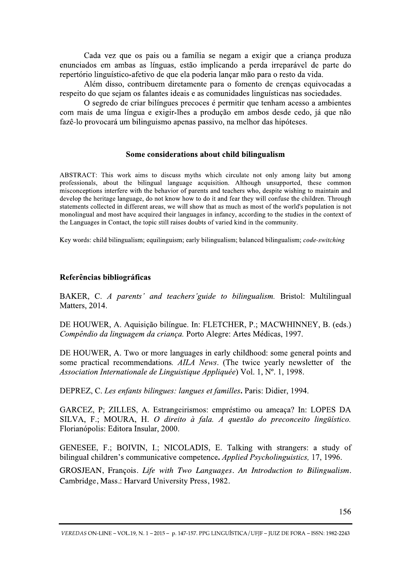Cada vez que os pais ou a família se negam a exigir que a criança produza enunciados em ambas as línguas, estão implicando a perda irreparável de parte do repertório linguístico-afetivo de que ela poderia lançar mão para o resto da vida.

Além disso, contribuem diretamente para o fomento de crenças equivocadas a respeito do que sejam os falantes ideais e as comunidades linguísticas nas sociedades.

O segredo de criar bilíngues precoces é permitir que tenham acesso a ambientes com mais de uma língua e exigir-lhes a produção em ambos desde cedo, já que não fazê-lo provocará um bilinguismo apenas passivo, na melhor das hipóteses.

## Some considerations about child bilingualism

ABSTRACT: This work aims to discuss myths which circulate not only among laity but among professionals, about the bilingual language acquisition. Although unsupported, these common misconceptions interfere with the behavior of parents and teachers who, despite wishing to maintain and develop the heritage language, do not know how to do it and fear they will confuse the children. Through statements collected in different areas, we will show that as much as most of the world's population is not monolingual and most have acquired their languages in infancy, according to the studies in the context of the Languages in Contact, the topic still raises doubts of varied kind in the community.

Key words: child bilingualism; equilinguism; early bilingualism; balanced bilingualism; code-switching

# Referências bibliográficas

BAKER, C. A parents' and teachers' guide to bilingualism. Bristol: Multilingual Matters, 2014.

DE HOUWER, A. Aquisição bilíngue. In: FLETCHER, P.; MACWHINNEY, B. (eds.) Compêndio da linguagem da criança. Porto Alegre: Artes Médicas, 1997.

DE HOUWER, A. Two or more languages in early childhood: some general points and some practical recommendations. AILA News. (The twice yearly newsletter of the Association Internationale de Linguistique Appliquée) Vol. 1, Nº. 1, 1998.

DEPREZ, C. Les enfants bilingues: langues et familles. Paris: Didier, 1994.

GARCEZ, P; ZILLES, A. Estrangeirismos: empréstimo ou ameaça? In: LOPES DA SILVA, F.; MOURA, H. O direito à fala. A questão do preconceito lingüístico. Florianópolis: Editora Insular, 2000.

GENESEE, F.; BOIVIN, I.; NICOLADIS, E. Talking with strangers: a study of bilingual children's communicative competence. *Applied Psycholinguistics*, 17, 1996.

GROSJEAN, François. Life with Two Languages. An Introduction to Bilingualism. Cambridge, Mass.: Harvard University Press, 1982.

VEREDAS ON-LINE - VOL.19, N. 1 - 2015 - p. 147-157. PPG LINGUÍSTICA / UFIF - JUIZ DE FORA - ISSN: 1982-2243